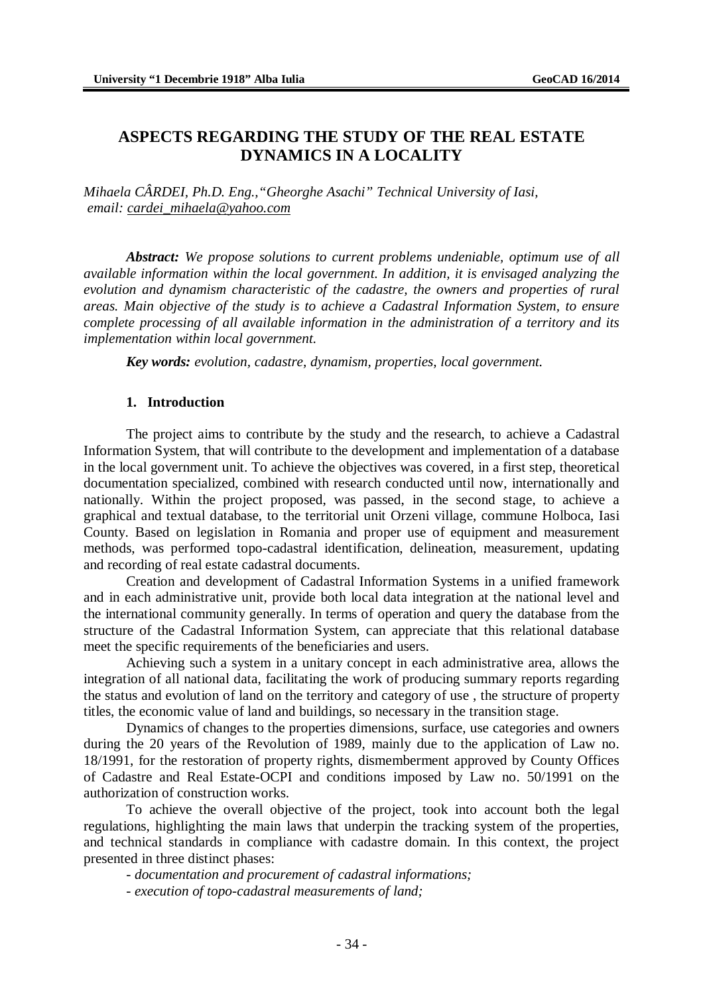# **ASPECTS REGARDING THE STUDY OF THE REAL ESTATE DYNAMICS IN A LOCALITY**

*Mihaela CÂRDEI, Ph.D. Eng.,"Gheorghe Asachi" Technical University of Iasi, email: [cardei\\_mihaela@yahoo.com](mailto:cardei_mihaela@yahoo.com)*

*Abstract: We propose solutions to current problems undeniable, optimum use of all available information within the local government. In addition, it is envisaged analyzing the evolution and dynamism characteristic of the cadastre, the owners and properties of rural areas. Main objective of the study is to achieve a Cadastral Information System, to ensure complete processing of all available information in the administration of a territory and its implementation within local government.*

*Key words: evolution, cadastre, dynamism, properties, local government.*

#### **1. Introduction**

The project aims to contribute by the study and the research, to achieve a Cadastral Information System, that will contribute to the development and implementation of a database in the local government unit. To achieve the objectives was covered, in a first step, theoretical documentation specialized, combined with research conducted until now, internationally and nationally. Within the project proposed, was passed, in the second stage, to achieve a graphical and textual database, to the territorial unit Orzeni village, commune Holboca, Iasi County. Based on legislation in Romania and proper use of equipment and measurement methods, was performed topo-cadastral identification, delineation, measurement, updating and recording of real estate cadastral documents.

Creation and development of Cadastral Information Systems in a unified framework and in each administrative unit, provide both local data integration at the national level and the international community generally. In terms of operation and query the database from the structure of the Cadastral Information System, can appreciate that this relational database meet the specific requirements of the beneficiaries and users.

Achieving such a system in a unitary concept in each administrative area, allows the integration of all national data, facilitating the work of producing summary reports regarding the status and evolution of land on the territory and category of use , the structure of property titles, the economic value of land and buildings, so necessary in the transition stage.

Dynamics of changes to the properties dimensions, surface, use categories and owners during the 20 years of the Revolution of 1989, mainly due to the application of Law no. 18/1991, for the restoration of property rights, dismemberment approved by County Offices of Cadastre and Real Estate-OCPI and conditions imposed by Law no. 50/1991 on the authorization of construction works.

To achieve the overall objective of the project, took into account both the legal regulations, highlighting the main laws that underpin the tracking system of the properties, and technical standards in compliance with cadastre domain. In this context, the project presented in three distinct phases:

- *documentation and procurement of cadastral informations;*

*- execution of topo-cadastral measurements of land;*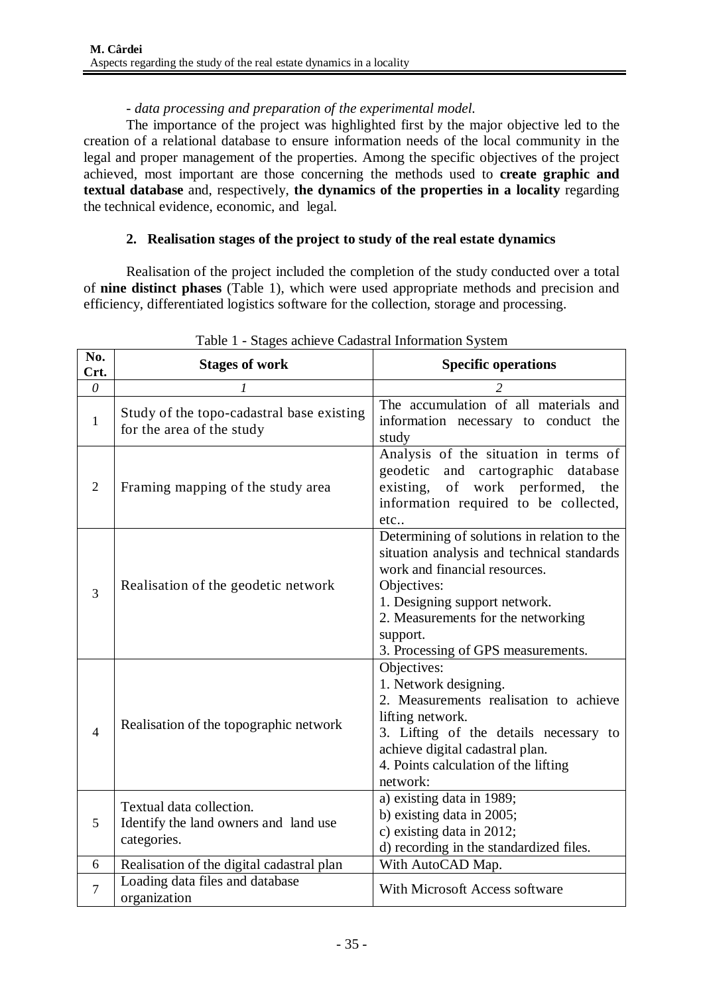## *- data processing and preparation of the experimental model.*

The importance of the project was highlighted first by the major objective led to the creation of a relational database to ensure information needs of the local community in the legal and proper management of the properties. Among the specific objectives of the project achieved, most important are those concerning the methods used to **create graphic and textual database** and, respectively, **the dynamics of the properties in a locality** regarding the technical evidence, economic, and legal.

## **2. Realisation stages of the project to study of the real estate dynamics**

Realisation of the project included the completion of the study conducted over a total of **nine distinct phases** (Table 1), which were used appropriate methods and precision and efficiency, differentiated logistics software for the collection, storage and processing.

| No.<br>Crt.    | <b>Stages of work</b>                                                            | <b>Specific operations</b>                                                                                                                                                                                                                                         |
|----------------|----------------------------------------------------------------------------------|--------------------------------------------------------------------------------------------------------------------------------------------------------------------------------------------------------------------------------------------------------------------|
| $\theta$       |                                                                                  |                                                                                                                                                                                                                                                                    |
| $\mathbf{1}$   | Study of the topo-cadastral base existing<br>for the area of the study           | The accumulation of all materials and<br>information necessary to conduct the<br>study                                                                                                                                                                             |
| 2              | Framing mapping of the study area                                                | Analysis of the situation in terms of<br>geodetic<br>and cartographic<br>database<br>of work performed,<br>existing,<br>the<br>information required to be collected,<br>etc                                                                                        |
| 3              | Realisation of the geodetic network                                              | Determining of solutions in relation to the<br>situation analysis and technical standards<br>work and financial resources.<br>Objectives:<br>1. Designing support network.<br>2. Measurements for the networking<br>support.<br>3. Processing of GPS measurements. |
| $\overline{4}$ | Realisation of the topographic network                                           | Objectives:<br>1. Network designing.<br>2. Measurements realisation to achieve<br>lifting network.<br>3. Lifting of the details necessary to<br>achieve digital cadastral plan.<br>4. Points calculation of the lifting<br>network:                                |
| 5              | Textual data collection.<br>Identify the land owners and land use<br>categories. | a) existing data in 1989;<br>b) existing data in 2005;<br>c) existing data in 2012;<br>d) recording in the standardized files.                                                                                                                                     |
| 6              | Realisation of the digital cadastral plan                                        | With AutoCAD Map.                                                                                                                                                                                                                                                  |
| $\tau$         | Loading data files and database<br>organization                                  | With Microsoft Access software                                                                                                                                                                                                                                     |

Table 1 - Stages achieve Cadastral Information System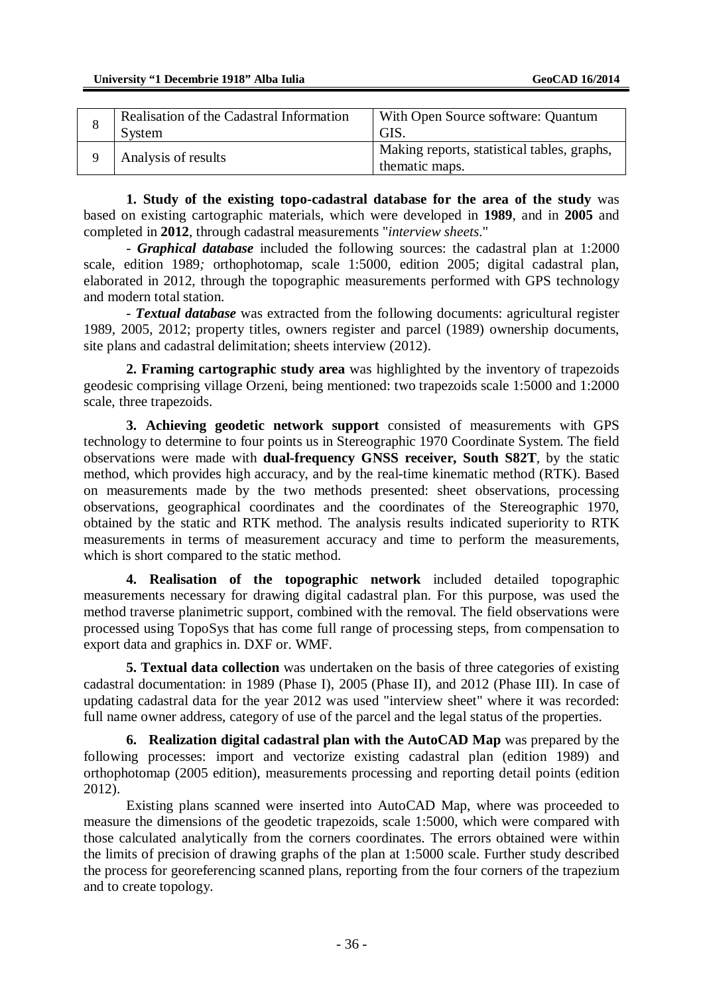| $\circ$ | Realisation of the Cadastral Information<br>System | With Open Source software: Quantum<br>GIS.                    |
|---------|----------------------------------------------------|---------------------------------------------------------------|
|         | Analysis of results                                | Making reports, statistical tables, graphs,<br>thematic maps. |

**1. Study of the existing topo-cadastral database for the area of the study** was based on existing cartographic materials, which were developed in **1989**, and in **2005** and completed in **2012**, through cadastral measurements "*interview sheets*."

- *Graphical database* included the following sources: the cadastral plan at 1:2000 scale, edition 1989*;* orthophotomap, scale 1:5000, edition 2005; digital cadastral plan, elaborated in 2012, through the topographic measurements performed with GPS technology and modern total station.

- *Textual database* was extracted from the following documents: agricultural register 1989, 2005, 2012; property titles, owners register and parcel (1989) ownership documents, site plans and cadastral delimitation; sheets interview (2012).

**2. Framing cartographic study area** was highlighted by the inventory of trapezoids geodesic comprising village Orzeni, being mentioned: two trapezoids scale 1:5000 and 1:2000 scale, three trapezoids.

**3. Achieving geodetic network support** consisted of measurements with GPS technology to determine to four points us in Stereographic 1970 Coordinate System. The field observations were made with **dual-frequency GNSS receiver, South S82T**, by the static method, which provides high accuracy, and by the real-time kinematic method (RTK). Based on measurements made by the two methods presented: sheet observations, processing observations, geographical coordinates and the coordinates of the Stereographic 1970, obtained by the static and RTK method. The analysis results indicated superiority to RTK measurements in terms of measurement accuracy and time to perform the measurements, which is short compared to the static method.

**4. Realisation of the topographic network** included detailed topographic measurements necessary for drawing digital cadastral plan. For this purpose, was used the method traverse planimetric support, combined with the removal. The field observations were processed using TopoSys that has come full range of processing steps, from compensation to export data and graphics in. DXF or. WMF.

**5. Textual data collection** was undertaken on the basis of three categories of existing cadastral documentation: in 1989 (Phase I), 2005 (Phase II), and 2012 (Phase III). In case of updating cadastral data for the year 2012 was used "interview sheet" where it was recorded: full name owner address, category of use of the parcel and the legal status of the properties.

**6. Realization digital cadastral plan with the AutoCAD Map** was prepared by the following processes: import and vectorize existing cadastral plan (edition 1989) and orthophotomap (2005 edition), measurements processing and reporting detail points (edition 2012).

Existing plans scanned were inserted into AutoCAD Map, where was proceeded to measure the dimensions of the geodetic trapezoids, scale 1:5000, which were compared with those calculated analytically from the corners coordinates. The errors obtained were within the limits of precision of drawing graphs of the plan at 1:5000 scale. Further study described the process for georeferencing scanned plans, reporting from the four corners of the trapezium and to create topology.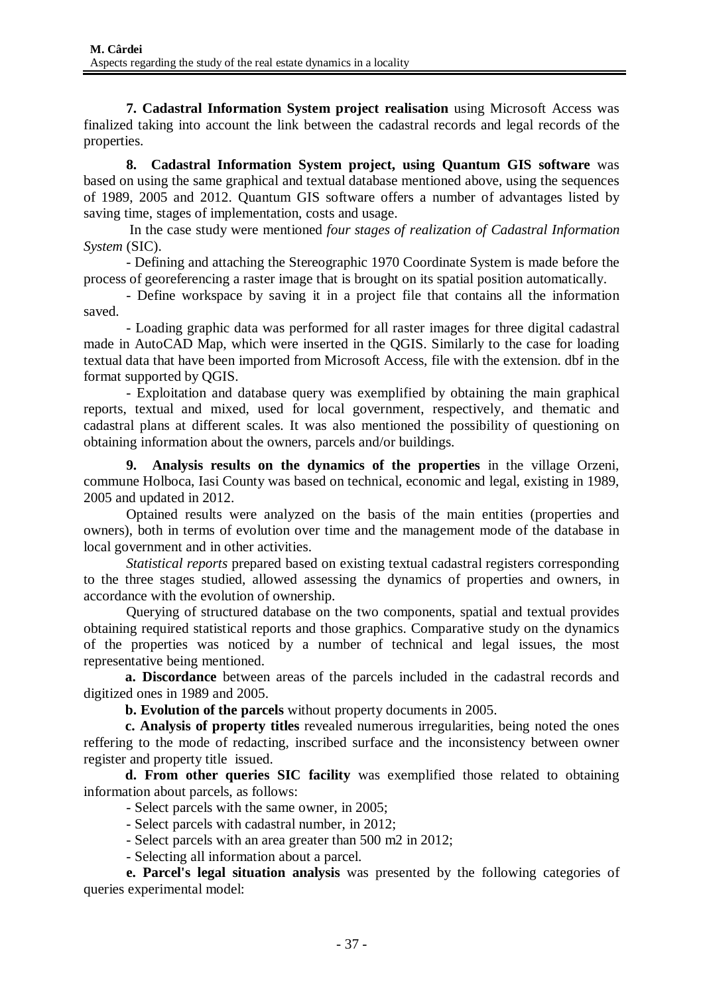**7. Cadastral Information System project realisation** using Microsoft Access was finalized taking into account the link between the cadastral records and legal records of the properties.

**8. Cadastral Information System project, using Quantum GIS software** was based on using the same graphical and textual database mentioned above, using the sequences of 1989, 2005 and 2012. Quantum GIS software offers a number of advantages listed by saving time, stages of implementation, costs and usage.

In the case study were mentioned *four stages of realization of Cadastral Information System* (SIC).

- Defining and attaching the Stereographic 1970 Coordinate System is made before the process of georeferencing a raster image that is brought on its spatial position automatically.

- Define workspace by saving it in a project file that contains all the information saved.

- Loading graphic data was performed for all raster images for three digital cadastral made in AutoCAD Map, which were inserted in the QGIS. Similarly to the case for loading textual data that have been imported from Microsoft Access, file with the extension. dbf in the format supported by QGIS.

- Exploitation and database query was exemplified by obtaining the main graphical reports, textual and mixed, used for local government, respectively, and thematic and cadastral plans at different scales. It was also mentioned the possibility of questioning on obtaining information about the owners, parcels and/or buildings.

**9. Analysis results on the dynamics of the properties** in the village Orzeni, commune Holboca, Iasi County was based on technical, economic and legal, existing in 1989, 2005 and updated in 2012.

Optained results were analyzed on the basis of the main entities (properties and owners), both in terms of evolution over time and the management mode of the database in local government and in other activities.

*Statistical reports* prepared based on existing textual cadastral registers corresponding to the three stages studied, allowed assessing the dynamics of properties and owners, in accordance with the evolution of ownership.

Querying of structured database on the two components, spatial and textual provides obtaining required statistical reports and those graphics. Comparative study on the dynamics of the properties was noticed by a number of technical and legal issues, the most representative being mentioned.

**a. Discordance** between areas of the parcels included in the cadastral records and digitized ones in 1989 and 2005.

**b. Evolution of the parcels** without property documents in 2005.

**c. Analysis of property titles** revealed numerous irregularities, being noted the ones reffering to the mode of redacting, inscribed surface and the inconsistency between owner register and property title issued.

**d. From other queries SIC facility** was exemplified those related to obtaining information about parcels, as follows:

- Select parcels with the same owner, in 2005;

- Select parcels with cadastral number, in 2012;

- Select parcels with an area greater than 500 m2 in 2012;

- Selecting all information about a parcel.

**e. Parcel's legal situation analysis** was presented by the following categories of queries experimental model: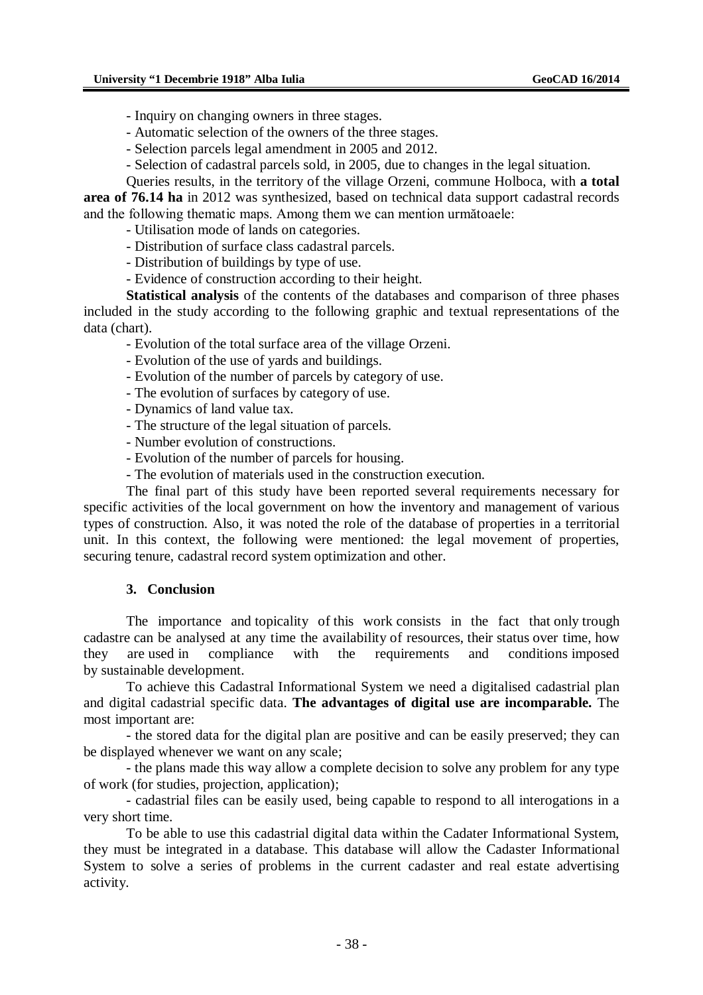- Inquiry on changing owners in three stages.

- Automatic selection of the owners of the three stages.

- Selection parcels legal amendment in 2005 and 2012.

- Selection of cadastral parcels sold, in 2005, due to changes in the legal situation.

Queries results, in the territory of the village Orzeni, commune Holboca, with **a total area of 76.14 ha** in 2012 was synthesized, based on technical data support cadastral records and the following thematic maps. Among them we can mention următoaele:

- Utilisation mode of lands on categories.

- Distribution of surface class cadastral parcels.

- Distribution of buildings by type of use.

- Evidence of construction according to their height.

**Statistical analysis** of the contents of the databases and comparison of three phases included in the study according to the following graphic and textual representations of the data (chart).

- Evolution of the total surface area of the village Orzeni.

- Evolution of the use of yards and buildings.

- Evolution of the number of parcels by category of use.

- The evolution of surfaces by category of use.

- Dynamics of land value tax.

- The structure of the legal situation of parcels.

- Number evolution of constructions.

- Evolution of the number of parcels for housing.

- The evolution of materials used in the construction execution.

The final part of this study have been reported several requirements necessary for specific activities of the local government on how the inventory and management of various types of construction. Also, it was noted the role of the database of properties in a territorial unit. In this context, the following were mentioned: the legal movement of properties, securing tenure, cadastral record system optimization and other.

#### **3. Conclusion**

The importance and topicality of this work consists in the fact that only trough cadastre can be analysed at any time the availability of resources, their status over time, how they are used in compliance with the requirements and conditions imposed by sustainable development.

To achieve this Cadastral Informational System we need a digitalised cadastrial plan and digital cadastrial specific data. **The advantages of digital use are incomparable.** The most important are:

- the stored data for the digital plan are positive and can be easily preserved; they can be displayed whenever we want on any scale;

- the plans made this way allow a complete decision to solve any problem for any type of work (for studies, projection, application);

- cadastrial files can be easily used, being capable to respond to all interogations in a very short time.

To be able to use this cadastrial digital data within the Cadater Informational System, they must be integrated in a database. This database will allow the Cadaster Informational System to solve a series of problems in the current cadaster and real estate advertising activity.